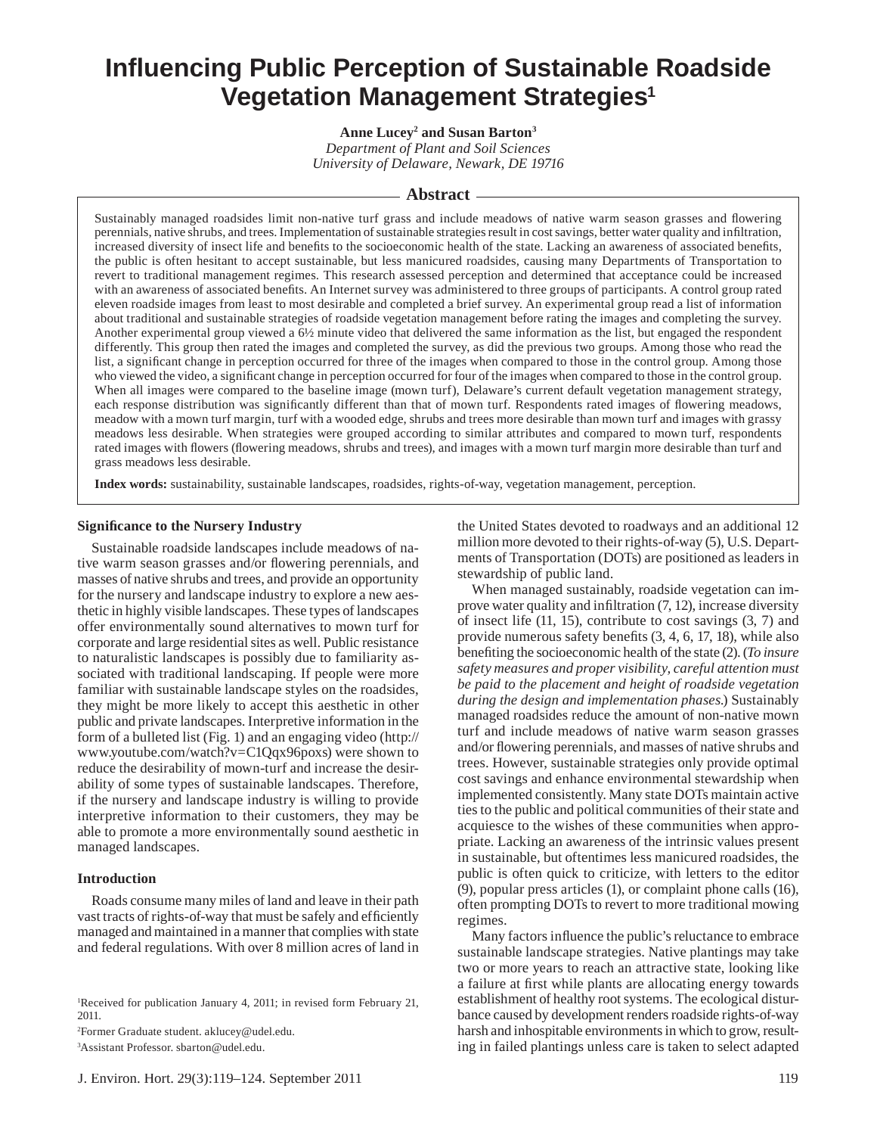# **Infl uencing Public Perception of Sustainable Roadside Vegetation Management Strategies1**

**Anne Lucey2 and Susan Barton3** *Department of Plant and Soil Sciences University of Delaware, Newark, DE 19716*

# **Abstract**

Sustainably managed roadsides limit non-native turf grass and include meadows of native warm season grasses and flowering perennials, native shrubs, and trees. Implementation of sustainable strategies result in cost savings, better water quality and infiltration, increased diversity of insect life and benefits to the socioeconomic health of the state. Lacking an awareness of associated benefits, the public is often hesitant to accept sustainable, but less manicured roadsides, causing many Departments of Transportation to revert to traditional management regimes. This research assessed perception and determined that acceptance could be increased with an awareness of associated benefits. An Internet survey was administered to three groups of participants. A control group rated eleven roadside images from least to most desirable and completed a brief survey. An experimental group read a list of information about traditional and sustainable strategies of roadside vegetation management before rating the images and completing the survey. Another experimental group viewed a 6½ minute video that delivered the same information as the list, but engaged the respondent differently. This group then rated the images and completed the survey, as did the previous two groups. Among those who read the list, a significant change in perception occurred for three of the images when compared to those in the control group. Among those who viewed the video, a significant change in perception occurred for four of the images when compared to those in the control group. When all images were compared to the baseline image (mown turf), Delaware's current default vegetation management strategy, each response distribution was significantly different than that of mown turf. Respondents rated images of flowering meadows, meadow with a mown turf margin, turf with a wooded edge, shrubs and trees more desirable than mown turf and images with grassy meadows less desirable. When strategies were grouped according to similar attributes and compared to mown turf, respondents rated images with flowers (flowering meadows, shrubs and trees), and images with a mown turf margin more desirable than turf and grass meadows less desirable.

**Index words:** sustainability, sustainable landscapes, roadsides, rights-of-way, vegetation management, perception.

### **Signifi cance to the Nursery Industry**

Sustainable roadside landscapes include meadows of native warm season grasses and/or flowering perennials, and masses of native shrubs and trees, and provide an opportunity for the nursery and landscape industry to explore a new aesthetic in highly visible landscapes. These types of landscapes offer environmentally sound alternatives to mown turf for corporate and large residential sites as well. Public resistance to naturalistic landscapes is possibly due to familiarity associated with traditional landscaping. If people were more familiar with sustainable landscape styles on the roadsides, they might be more likely to accept this aesthetic in other public and private landscapes. Interpretive information in the form of a bulleted list (Fig. 1) and an engaging video (http:// www.youtube.com/watch?v=C1Qqx96poxs) were shown to reduce the desirability of mown-turf and increase the desirability of some types of sustainable landscapes. Therefore, if the nursery and landscape industry is willing to provide interpretive information to their customers, they may be able to promote a more environmentally sound aesthetic in managed landscapes.

# **Introduction**

Roads consume many miles of land and leave in their path vast tracts of rights-of-way that must be safely and efficiently managed and maintained in a manner that complies with state and federal regulations. With over 8 million acres of land in

1 Received for publication January 4, 2011; in revised form February 21, 2011.

2 Former Graduate student. aklucey@udel.edu.

3 Assistant Professor. sbarton@udel.edu.

the United States devoted to roadways and an additional 12 million more devoted to their rights-of-way (5), U.S. Departments of Transportation (DOTs) are positioned as leaders in stewardship of public land.

When managed sustainably, roadside vegetation can improve water quality and infiltration  $(7, 12)$ , increase diversity of insect life (11, 15), contribute to cost savings (3, 7) and provide numerous safety benefits  $(3, 4, 6, 17, 18)$ , while also benefiting the socioeconomic health of the state (2). (*To insure safety measures and proper visibility, careful attention must be paid to the placement and height of roadside vegetation during the design and implementation phases.*) Sustainably managed roadsides reduce the amount of non-native mown turf and include meadows of native warm season grasses and/or flowering perennials, and masses of native shrubs and trees. However, sustainable strategies only provide optimal cost savings and enhance environmental stewardship when implemented consistently. Many state DOTs maintain active ties to the public and political communities of their state and acquiesce to the wishes of these communities when appropriate. Lacking an awareness of the intrinsic values present in sustainable, but oftentimes less manicured roadsides, the public is often quick to criticize, with letters to the editor (9), popular press articles (1), or complaint phone calls (16), often prompting DOTs to revert to more traditional mowing regimes.

Many factors influence the public's reluctance to embrace sustainable landscape strategies. Native plantings may take two or more years to reach an attractive state, looking like a failure at first while plants are allocating energy towards establishment of healthy root systems. The ecological disturbance caused by development renders roadside rights-of-way harsh and inhospitable environments in which to grow, resulting in failed plantings unless care is taken to select adapted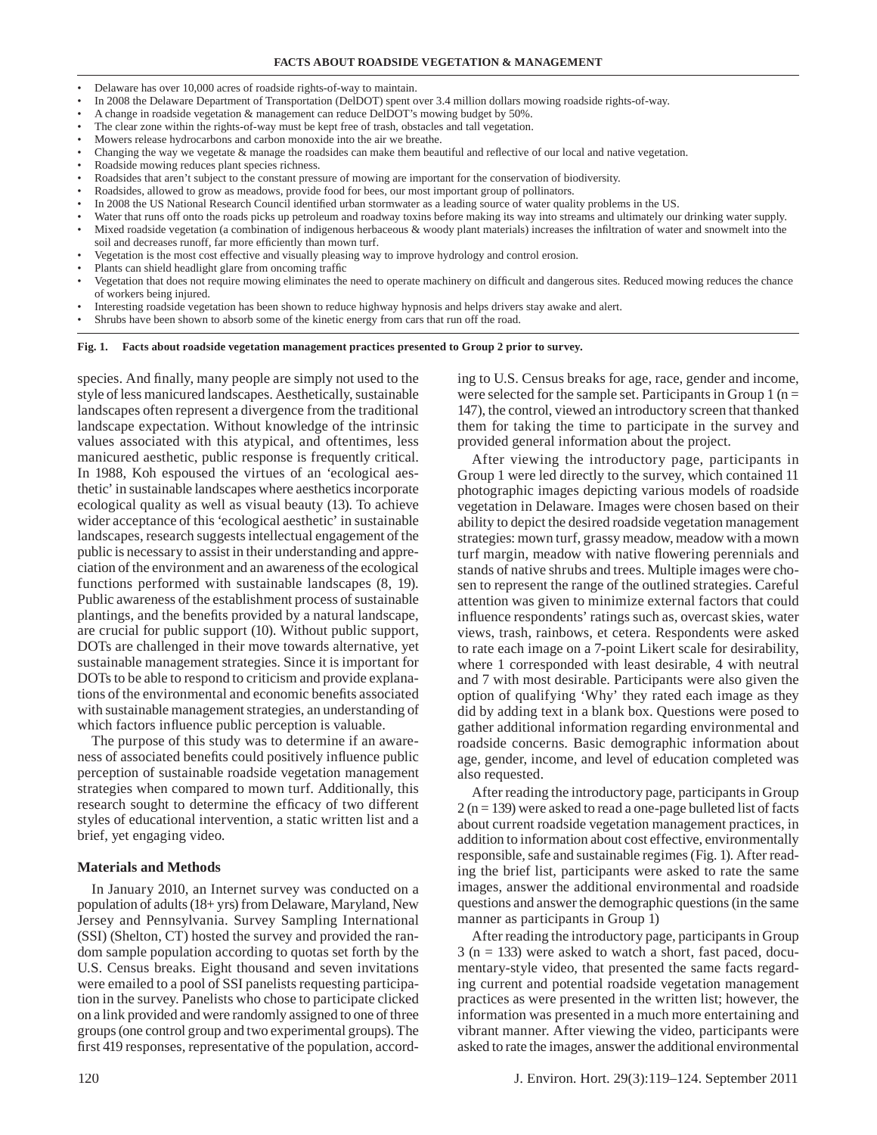- Delaware has over 10,000 acres of roadside rights-of-way to maintain.
- In 2008 the Delaware Department of Transportation (DelDOT) spent over 3.4 million dollars mowing roadside rights-of-way.
- A change in roadside vegetation & management can reduce DelDOT's mowing budget by 50%.
- The clear zone within the rights-of-way must be kept free of trash, obstacles and tall vegetation.
- Mowers release hydrocarbons and carbon monoxide into the air we breathe.
- Changing the way we vegetate & manage the roadsides can make them beautiful and reflective of our local and native vegetation.
- Roadside mowing reduces plant species richness.
- Roadsides that aren't subject to the constant pressure of mowing are important for the conservation of biodiversity.
- Roadsides, allowed to grow as meadows, provide food for bees, our most important group of pollinators.
- In 2008 the US National Research Council identified urban stormwater as a leading source of water quality problems in the US.
- Water that runs off onto the roads picks up petroleum and roadway toxins before making its way into streams and ultimately our drinking water supply.
- Mixed roadside vegetation (a combination of indigenous herbaceous & woody plant materials) increases the infiltration of water and snowmelt into the
- soil and decreases runoff, far more efficiently than mown turf. • Vegetation is the most cost effective and visually pleasing way to improve hydrology and control erosion.
- Plants can shield headlight glare from oncoming traffic
- Vegetation that does not require mowing eliminates the need to operate machinery on difficult and dangerous sites. Reduced mowing reduces the chance of workers being injured.
- Interesting roadside vegetation has been shown to reduce highway hypnosis and helps drivers stay awake and alert.
- Shrubs have been shown to absorb some of the kinetic energy from cars that run off the road.

**Fig. 1. Facts about roadside vegetation management practices presented to Group 2 prior to survey.**

species. And finally, many people are simply not used to the style of less manicured landscapes. Aesthetically, sustainable landscapes often represent a divergence from the traditional landscape expectation. Without knowledge of the intrinsic values associated with this atypical, and oftentimes, less manicured aesthetic, public response is frequently critical. In 1988, Koh espoused the virtues of an 'ecological aesthetic' in sustainable landscapes where aesthetics incorporate ecological quality as well as visual beauty (13). To achieve wider acceptance of this 'ecological aesthetic' in sustainable landscapes, research suggests intellectual engagement of the public is necessary to assist in their understanding and appreciation of the environment and an awareness of the ecological functions performed with sustainable landscapes (8, 19). Public awareness of the establishment process of sustainable plantings, and the benefits provided by a natural landscape, are crucial for public support (10). Without public support, DOTs are challenged in their move towards alternative, yet sustainable management strategies. Since it is important for DOTs to be able to respond to criticism and provide explanations of the environmental and economic benefits associated with sustainable management strategies, an understanding of which factors influence public perception is valuable.

The purpose of this study was to determine if an awareness of associated benefits could positively influence public perception of sustainable roadside vegetation management strategies when compared to mown turf. Additionally, this research sought to determine the efficacy of two different styles of educational intervention, a static written list and a brief, yet engaging video.

### **Materials and Methods**

In January 2010, an Internet survey was conducted on a population of adults (18+ yrs) from Delaware, Maryland, New Jersey and Pennsylvania. Survey Sampling International (SSI) (Shelton, CT) hosted the survey and provided the random sample population according to quotas set forth by the U.S. Census breaks. Eight thousand and seven invitations were emailed to a pool of SSI panelists requesting participation in the survey. Panelists who chose to participate clicked on a link provided and were randomly assigned to one of three groups (one control group and two experimental groups). The first 419 responses, representative of the population, accordability to depict the desired roadside vegetation management strategies: mown turf, grassy meadow, meadow with a mown turf margin, meadow with native flowering perennials and stands of native shrubs and trees. Multiple images were chosen to represent the range of the outlined strategies. Careful

ing to U.S. Census breaks for age, race, gender and income, were selected for the sample set. Participants in Group  $1$  (n = 147), the control, viewed an introductory screen that thanked them for taking the time to participate in the survey and

After viewing the introductory page, participants in Group 1 were led directly to the survey, which contained 11 photographic images depicting various models of roadside vegetation in Delaware. Images were chosen based on their

provided general information about the project.

attention was given to minimize external factors that could influence respondents' ratings such as, overcast skies, water views, trash, rainbows, et cetera. Respondents were asked to rate each image on a 7-point Likert scale for desirability, where 1 corresponded with least desirable, 4 with neutral and 7 with most desirable. Participants were also given the option of qualifying 'Why' they rated each image as they did by adding text in a blank box. Questions were posed to gather additional information regarding environmental and roadside concerns. Basic demographic information about age, gender, income, and level of education completed was also requested.

After reading the introductory page, participants in Group  $2 (n = 139)$  were asked to read a one-page bulleted list of facts about current roadside vegetation management practices, in addition to information about cost effective, environmentally responsible, safe and sustainable regimes (Fig. 1). After reading the brief list, participants were asked to rate the same images, answer the additional environmental and roadside questions and answer the demographic questions (in the same manner as participants in Group 1)

After reading the introductory page, participants in Group  $3$  (n = 133) were asked to watch a short, fast paced, documentary-style video, that presented the same facts regarding current and potential roadside vegetation management practices as were presented in the written list; however, the information was presented in a much more entertaining and vibrant manner. After viewing the video, participants were asked to rate the images, answer the additional environmental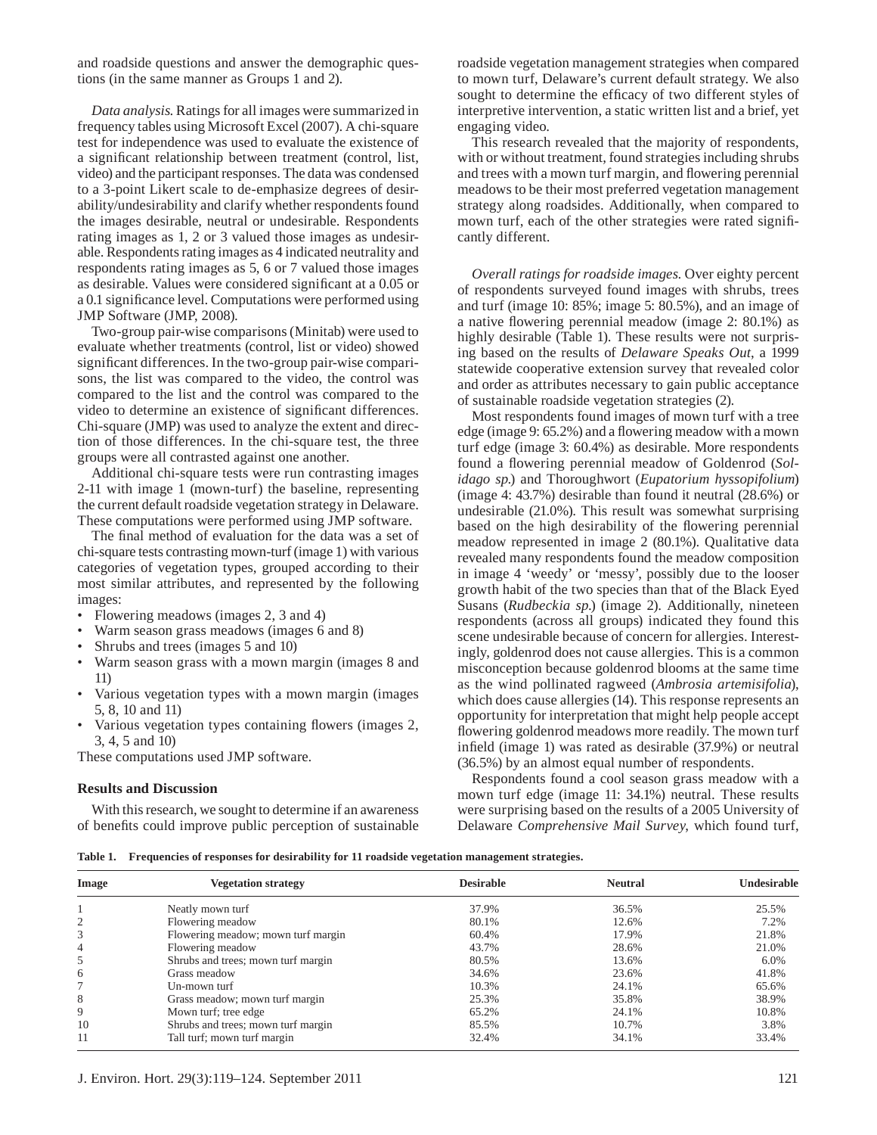and roadside questions and answer the demographic questions (in the same manner as Groups 1 and 2).

*Data analysis*. Ratings for all images were summarized in frequency tables using Microsoft Excel (2007). A chi-square test for independence was used to evaluate the existence of a significant relationship between treatment (control, list, video) and the participant responses. The data was condensed to a 3-point Likert scale to de-emphasize degrees of desirability/undesirability and clarify whether respondents found the images desirable, neutral or undesirable. Respondents rating images as 1, 2 or 3 valued those images as undesirable. Respondents rating images as 4 indicated neutrality and respondents rating images as 5, 6 or 7 valued those images as desirable. Values were considered significant at a 0.05 or a 0.1 significance level. Computations were performed using JMP Software (JMP, 2008).

Two-group pair-wise comparisons (Minitab) were used to evaluate whether treatments (control, list or video) showed significant differences. In the two-group pair-wise comparisons, the list was compared to the video, the control was compared to the list and the control was compared to the video to determine an existence of significant differences. Chi-square (JMP) was used to analyze the extent and direction of those differences. In the chi-square test, the three groups were all contrasted against one another.

Additional chi-square tests were run contrasting images 2-11 with image 1 (mown-turf) the baseline, representing the current default roadside vegetation strategy in Delaware. These computations were performed using JMP software.

The final method of evaluation for the data was a set of chi-square tests contrasting mown-turf (image 1) with various categories of vegetation types, grouped according to their most similar attributes, and represented by the following images:

- Flowering meadows (images 2, 3 and 4)
- Warm season grass meadows (images 6 and 8)
- Shrubs and trees (images 5 and 10)
- Warm season grass with a mown margin (images 8 and 11)
- Various vegetation types with a mown margin (images 5, 8, 10 and 11)
- Various vegetation types containing flowers (images 2, 3, 4, 5 and 10)

These computations used JMP software.

#### **Results and Discussion**

With this research, we sought to determine if an awareness of benefits could improve public perception of sustainable roadside vegetation management strategies when compared to mown turf, Delaware's current default strategy. We also sought to determine the efficacy of two different styles of interpretive intervention, a static written list and a brief, yet engaging video.

This research revealed that the majority of respondents, with or without treatment, found strategies including shrubs and trees with a mown turf margin, and flowering perennial meadows to be their most preferred vegetation management strategy along roadsides. Additionally, when compared to mown turf, each of the other strategies were rated significantly different.

*Overall ratings for roadside images*. Over eighty percent of respondents surveyed found images with shrubs, trees and turf (image 10: 85%; image 5: 80.5%), and an image of a native flowering perennial meadow (image 2: 80.1%) as highly desirable (Table 1). These results were not surprising based on the results of *Delaware Speaks Out*, a 1999 statewide cooperative extension survey that revealed color and order as attributes necessary to gain public acceptance of sustainable roadside vegetation strategies (2).

Most respondents found images of mown turf with a tree edge (image 9:  $65.2\%$ ) and a flowering meadow with a mown turf edge (image 3: 60.4%) as desirable. More respondents found a flowering perennial meadow of Goldenrod (Sol*idago sp*.) and Thoroughwort (*Eupatorium hyssopifolium*) (image 4: 43.7%) desirable than found it neutral (28.6%) or undesirable (21.0%). This result was somewhat surprising based on the high desirability of the flowering perennial meadow represented in image 2 (80.1%). Qualitative data revealed many respondents found the meadow composition in image 4 'weedy' or 'messy', possibly due to the looser growth habit of the two species than that of the Black Eyed Susans (*Rudbeckia sp*.) (image 2). Additionally, nineteen respondents (across all groups) indicated they found this scene undesirable because of concern for allergies. Interestingly, goldenrod does not cause allergies. This is a common misconception because goldenrod blooms at the same time as the wind pollinated ragweed (*Ambrosia artemisifolia*), which does cause allergies (14). This response represents an opportunity for interpretation that might help people accept flowering goldenrod meadows more readily. The mown turf infield (image 1) was rated as desirable  $(37.9%)$  or neutral (36.5%) by an almost equal number of respondents.

Respondents found a cool season grass meadow with a mown turf edge (image 11: 34.1%) neutral. These results were surprising based on the results of a 2005 University of Delaware *Comprehensive Mail Survey*, which found turf,

**Table 1. Frequencies of responses for desirability for 11 roadside vegetation management strategies.**

| Image          | <b>Vegetation strategy</b>         | <b>Desirable</b> | <b>Neutral</b> | Undesirable |
|----------------|------------------------------------|------------------|----------------|-------------|
|                | Neatly mown turf                   | 37.9%            | 36.5%          | 25.5%       |
| $\overline{2}$ | Flowering meadow                   | 80.1%            | 12.6%          | 7.2%        |
| 3              | Flowering meadow; mown turf margin | 60.4%            | 17.9%          | 21.8%       |
| 4              | Flowering meadow                   | 43.7%            | 28.6%          | 21.0%       |
| 5              | Shrubs and trees; mown turf margin | 80.5%            | 13.6%          | $6.0\%$     |
| 6              | Grass meadow                       | 34.6%            | 23.6%          | 41.8%       |
|                | Un-mown turf                       | 10.3%            | 24.1%          | 65.6%       |
| 8              | Grass meadow; mown turf margin     | 25.3%            | 35.8%          | 38.9%       |
| 9              | Mown turf; tree edge               | 65.2%            | 24.1%          | 10.8%       |
| 10             | Shrubs and trees; mown turf margin | 85.5%            | 10.7%          | 3.8%        |
| 11             | Tall turf; mown turf margin        | 32.4%            | 34.1%          | 33.4%       |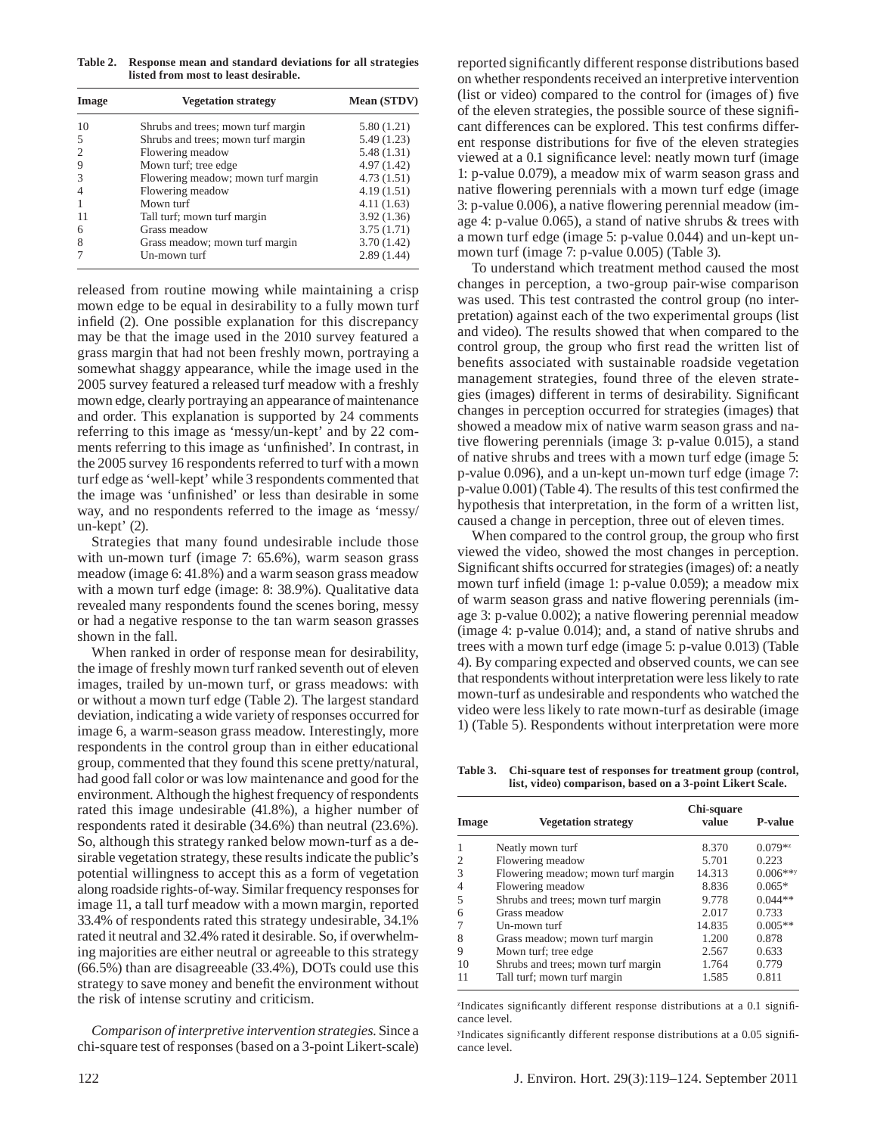**Table 2. Response mean and standard deviations for all strategies listed from most to least desirable.**

| Image          | <b>Vegetation strategy</b>         | <b>Mean (STDV)</b> |  |
|----------------|------------------------------------|--------------------|--|
| 10             | Shrubs and trees; mown turf margin | 5.80(1.21)         |  |
| 5              | Shrubs and trees; mown turf margin | 5.49(1.23)         |  |
| $\overline{c}$ | Flowering meadow                   | 5.48(1.31)         |  |
| 9              | Mown turf; tree edge               | 4.97(1.42)         |  |
| $\mathcal{R}$  | Flowering meadow; mown turf margin | 4.73(1.51)         |  |
|                | Flowering meadow                   | 4.19(1.51)         |  |
|                | Mown turf                          | 4.11(1.63)         |  |
|                | Tall turf; mown turf margin        | 3.92(1.36)         |  |
| 6              | Grass meadow                       | 3.75(1.71)         |  |
| 8              | Grass meadow; mown turf margin     | 3.70(1.42)         |  |
|                | Un-mown turf                       | 2.89(1.44)         |  |

released from routine mowing while maintaining a crisp mown edge to be equal in desirability to a fully mown turf infield  $(2)$ . One possible explanation for this discrepancy may be that the image used in the 2010 survey featured a grass margin that had not been freshly mown, portraying a somewhat shaggy appearance, while the image used in the 2005 survey featured a released turf meadow with a freshly mown edge, clearly portraying an appearance of maintenance and order. This explanation is supported by 24 comments referring to this image as 'messy/un-kept' and by 22 comments referring to this image as 'unfinished'. In contrast, in the 2005 survey 16 respondents referred to turf with a mown turf edge as 'well-kept' while 3 respondents commented that the image was 'unfinished' or less than desirable in some way, and no respondents referred to the image as 'messy/ un-kept' (2).

Strategies that many found undesirable include those with un-mown turf (image 7: 65.6%), warm season grass meadow (image 6: 41.8%) and a warm season grass meadow with a mown turf edge (image: 8: 38.9%). Qualitative data revealed many respondents found the scenes boring, messy or had a negative response to the tan warm season grasses shown in the fall.

When ranked in order of response mean for desirability, the image of freshly mown turf ranked seventh out of eleven images, trailed by un-mown turf, or grass meadows: with or without a mown turf edge (Table 2). The largest standard deviation, indicating a wide variety of responses occurred for image 6, a warm-season grass meadow. Interestingly, more respondents in the control group than in either educational group, commented that they found this scene pretty/natural, had good fall color or was low maintenance and good for the environment. Although the highest frequency of respondents rated this image undesirable (41.8%), a higher number of respondents rated it desirable (34.6%) than neutral (23.6%). So, although this strategy ranked below mown-turf as a desirable vegetation strategy, these results indicate the public's potential willingness to accept this as a form of vegetation along roadside rights-of-way. Similar frequency responses for image 11, a tall turf meadow with a mown margin, reported 33.4% of respondents rated this strategy undesirable, 34.1% rated it neutral and 32.4% rated it desirable. So, if overwhelming majorities are either neutral or agreeable to this strategy (66.5%) than are disagreeable (33.4%), DOTs could use this strategy to save money and benefit the environment without the risk of intense scrutiny and criticism.

*Comparison of interpretive intervention strategies*. Since a chi-square test of responses (based on a 3-point Likert-scale) reported significantly different response distributions based on whether respondents received an interpretive intervention (list or video) compared to the control for (images of) five of the eleven strategies, the possible source of these significant differences can be explored. This test confirms different response distributions for five of the eleven strategies viewed at a 0.1 significance level: neatly mown turf (image 1: p-value 0.079), a meadow mix of warm season grass and native flowering perennials with a mown turf edge (image 3: p-value 0.006), a native flowering perennial meadow (image 4: p-value 0.065), a stand of native shrubs & trees with a mown turf edge (image 5: p-value 0.044) and un-kept unmown turf (image 7: p-value 0.005) (Table 3).

To understand which treatment method caused the most changes in perception, a two-group pair-wise comparison was used. This test contrasted the control group (no interpretation) against each of the two experimental groups (list and video). The results showed that when compared to the control group, the group who first read the written list of benefits associated with sustainable roadside vegetation management strategies, found three of the eleven strategies (images) different in terms of desirability. Significant changes in perception occurred for strategies (images) that showed a meadow mix of native warm season grass and native flowering perennials (image 3: p-value 0.015), a stand of native shrubs and trees with a mown turf edge (image 5: p-value 0.096), and a un-kept un-mown turf edge (image 7: p-value 0.001) (Table 4). The results of this test confirmed the hypothesis that interpretation, in the form of a written list, caused a change in perception, three out of eleven times.

When compared to the control group, the group who first viewed the video, showed the most changes in perception. Significant shifts occurred for strategies (images) of: a neatly mown turf infield (image 1: p-value 0.059); a meadow mix of warm season grass and native flowering perennials (image 3: p-value  $0.002$ ); a native flowering perennial meadow (image 4: p-value 0.014); and, a stand of native shrubs and trees with a mown turf edge (image 5: p-value 0.013) (Table 4). By comparing expected and observed counts, we can see that respondents without interpretation were less likely to rate mown-turf as undesirable and respondents who watched the video were less likely to rate mown-turf as desirable (image 1) (Table 5). Respondents without interpretation were more

**Table 3. Chi-square test of responses for treatment group (control, list, video) comparison, based on a 3-point Likert Scale.**

| Image | <b>Vegetation strategy</b>         | Chi-square<br>value | <b>P-value</b> |
|-------|------------------------------------|---------------------|----------------|
|       | Neatly mown turf                   | 8.370               | $0.079**$      |
|       | Flowering meadow                   | 5.701               | 0.223          |
| 3     | Flowering meadow; mown turf margin | 14.313              | $0.006***$     |
|       | Flowering meadow                   | 8.836               | $0.065*$       |
| 5     | Shrubs and trees; mown turf margin | 9.778               | $0.044**$      |
|       | Grass meadow                       | 2.017               | 0.733          |
|       | Un-mown turf                       | 14.835              | $0.005**$      |
| 8     | Grass meadow; mown turf margin     | 1.200               | 0.878          |
| 9     | Mown turf; tree edge               | 2.567               | 0.633          |
| 10    | Shrubs and trees; mown turf margin | 1.764               | 0.779          |
| 11    | Tall turf; mown turf margin        | 1.585               | 0.811          |

<sup>z</sup>Indicates significantly different response distributions at a 0.1 significance level.

<sup>y</sup>Indicates significantly different response distributions at a 0.05 significance level.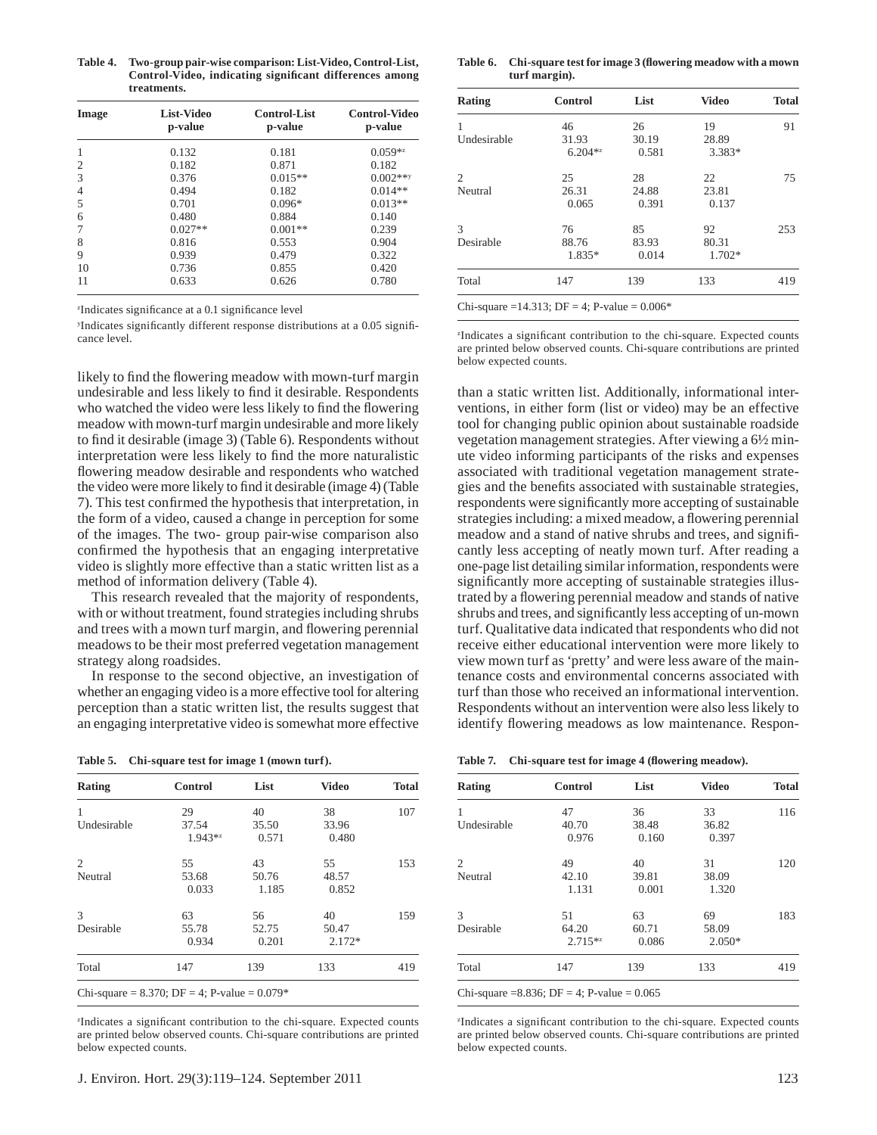**Table 4. Two-group pair-wise comparison: List-Video, Control-List, Control-Video, indicating signifi cant differences among treatments.**

| Image | List-Video<br>p-value | <b>Control-List</b><br>p-value | <b>Control-Video</b><br>p-value |  |
|-------|-----------------------|--------------------------------|---------------------------------|--|
| 1     | 0.132                 | 0.181                          | $0.059**$                       |  |
| 2     | 0.182                 | 0.871                          | 0.182                           |  |
| 3     | 0.376                 | $0.015**$                      | $0.002***$                      |  |
| 4     | 0.494                 | 0.182                          | $0.014**$                       |  |
| 5     | 0.701                 | $0.096*$                       | $0.013**$                       |  |
| 6     | 0.480                 | 0.884                          | 0.140                           |  |
|       | $0.027**$             | $0.001**$                      | 0.239                           |  |
| 8     | 0.816                 | 0.553                          | 0.904                           |  |
| 9     | 0.939                 | 0.479                          | 0.322                           |  |
| 10    | 0.736                 | 0.855                          | 0.420                           |  |
| 11    | 0.633                 | 0.626                          | 0.780                           |  |

<sup>z</sup>Indicates significance at a 0.1 significance level

Indicates significantly different response distributions at a 0.05 significance level.

likely to find the flowering meadow with mown-turf margin undesirable and less likely to find it desirable. Respondents who watched the video were less likely to find the flowering meadow with mown-turf margin undesirable and more likely to find it desirable (image 3) (Table 6). Respondents without interpretation were less likely to find the more naturalistic flowering meadow desirable and respondents who watched the video were more likely to find it desirable (image 4) (Table 7). This test confirmed the hypothesis that interpretation, in the form of a video, caused a change in perception for some of the images. The two- group pair-wise comparison also confirmed the hypothesis that an engaging interpretative video is slightly more effective than a static written list as a method of information delivery (Table 4).

This research revealed that the majority of respondents, with or without treatment, found strategies including shrubs and trees with a mown turf margin, and flowering perennial meadows to be their most preferred vegetation management strategy along roadsides.

In response to the second objective, an investigation of whether an engaging video is a more effective tool for altering perception than a static written list, the results suggest that an engaging interpretative video is somewhat more effective

| Table 5. | Chi-square test for image 1 (mown turf). |  |  |
|----------|------------------------------------------|--|--|
|          |                                          |  |  |

| <b>Video</b> | <b>Total</b> |
|--------------|--------------|
| 38           | 107          |
| 33.96        |              |
| 0.480        |              |
| 55           | 153          |
| 48.57        |              |
| 0.852        |              |
| 40           | 159          |
| 50.47        |              |
| $2.172*$     |              |
| 133          | 419          |
|              |              |

<sup>z</sup>Indicates a significant contribution to the chi-square. Expected counts are printed below observed counts. Chi-square contributions are printed below expected counts.

Table 6. Chi-square test for image 3 (flowering meadow with a mown **turf margin).**

|           | List  | <b>Video</b> | <b>Total</b> |
|-----------|-------|--------------|--------------|
| 46        | 26    | 19           | 91           |
| 31.93     | 30.19 | 28.89        |              |
| $6.204**$ | 0.581 | 3.383*       |              |
| 25        | 28    | 22           | 75           |
| 26.31     | 24.88 | 23.81        |              |
| 0.065     | 0.391 | 0.137        |              |
| 76        | 85    | 92           | 253          |
| 88.76     | 83.93 | 80.31        |              |
| 1.835*    | 0.014 | 1.702*       |              |
| 147       | 139   | 133          | 419          |
|           |       |              |              |

<sup>z</sup>Indicates a significant contribution to the chi-square. Expected counts are printed below observed counts. Chi-square contributions are printed below expected counts.

than a static written list. Additionally, informational interventions, in either form (list or video) may be an effective tool for changing public opinion about sustainable roadside vegetation management strategies. After viewing a 6½ minute video informing participants of the risks and expenses associated with traditional vegetation management strategies and the benefits associated with sustainable strategies, respondents were significantly more accepting of sustainable strategies including: a mixed meadow, a flowering perennial meadow and a stand of native shrubs and trees, and significantly less accepting of neatly mown turf. After reading a one-page list detailing similar information, respondents were significantly more accepting of sustainable strategies illustrated by a flowering perennial meadow and stands of native shrubs and trees, and significantly less accepting of un-mown turf. Qualitative data indicated that respondents who did not receive either educational intervention were more likely to view mown turf as 'pretty' and were less aware of the maintenance costs and environmental concerns associated with turf than those who received an informational intervention. Respondents without an intervention were also less likely to identify flowering meadows as low maintenance. Respon-

| Table 7. | Chi-square test for image 4 (flowering meadow). |  |
|----------|-------------------------------------------------|--|
|          |                                                 |  |

| Rating      | <b>Control</b> | List  | <b>Video</b> | <b>Total</b> |
|-------------|----------------|-------|--------------|--------------|
| 1           | 47             | 36    | 33           | 116          |
| Undesirable | 40.70          | 38.48 | 36.82        |              |
|             | 0.976          | 0.160 | 0.397        |              |
| 2           | 49             | 40    | 31           | 120          |
| Neutral     | 42.10          | 39.81 | 38.09        |              |
|             | 1.131          | 0.001 | 1.320        |              |
| 3           | 51             | 63    | 69           | 183          |
| Desirable   | 64.20          | 60.71 | 58.09        |              |
|             | $2.715**$      | 0.086 | $2.050*$     |              |
| Total       | 147            | 139   | 133          | 419          |

Chi-square =8.836; DF = 4; P-value =  $0.065$ 

<sup>z</sup>Indicates a significant contribution to the chi-square. Expected counts are printed below observed counts. Chi-square contributions are printed below expected counts.